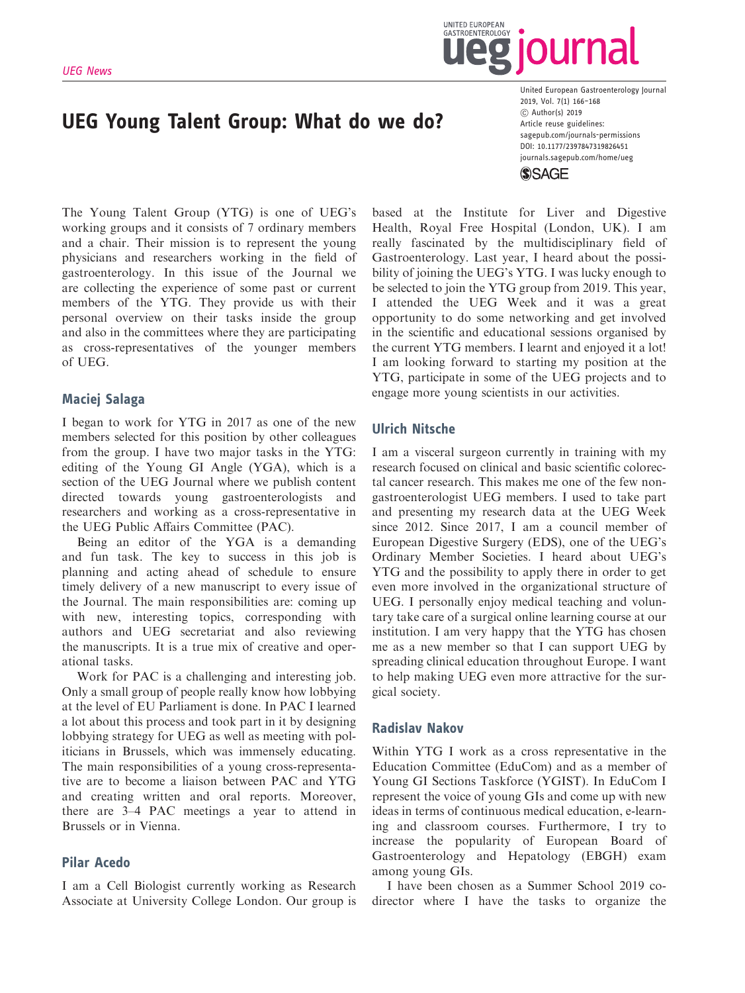# UEG Young Talent Group: What do we do?

United European Gastroenterology Journal 2019, Vol. 7(1) 166–168  $\circledcirc$  Author(s) 2019 Article reuse guidelines: [sagepub.com/journals-permissions](https://uk.sagepub.com/en-gb/journals-permissions) DOI: [10.1177/2397847319826451](https://doi.org/10.1177/2397847319826451) <journals.sagepub.com/home/ueg>

**SSAGE** 

The Young Talent Group (YTG) is one of UEG's working groups and it consists of 7 ordinary members and a chair. Their mission is to represent the young physicians and researchers working in the field of gastroenterology. In this issue of the Journal we are collecting the experience of some past or current members of the YTG. They provide us with their personal overview on their tasks inside the group and also in the committees where they are participating as cross-representatives of the younger members of UEG.

## Maciej Salaga

I began to work for YTG in 2017 as one of the new members selected for this position by other colleagues from the group. I have two major tasks in the YTG: editing of the Young GI Angle (YGA), which is a section of the UEG Journal where we publish content directed towards young gastroenterologists and researchers and working as a cross-representative in the UEG Public Affairs Committee (PAC).

Being an editor of the YGA is a demanding and fun task. The key to success in this job is planning and acting ahead of schedule to ensure timely delivery of a new manuscript to every issue of the Journal. The main responsibilities are: coming up with new, interesting topics, corresponding with authors and UEG secretariat and also reviewing the manuscripts. It is a true mix of creative and operational tasks.

Work for PAC is a challenging and interesting job. Only a small group of people really know how lobbying at the level of EU Parliament is done. In PAC I learned a lot about this process and took part in it by designing lobbying strategy for UEG as well as meeting with politicians in Brussels, which was immensely educating. The main responsibilities of a young cross-representative are to become a liaison between PAC and YTG and creating written and oral reports. Moreover, there are 3–4 PAC meetings a year to attend in Brussels or in Vienna.

# Pilar Acedo

I am a Cell Biologist currently working as Research Associate at University College London. Our group is based at the Institute for Liver and Digestive Health, Royal Free Hospital (London, UK). I am really fascinated by the multidisciplinary field of Gastroenterology. Last year, I heard about the possibility of joining the UEG's YTG. I was lucky enough to be selected to join the YTG group from 2019. This year, I attended the UEG Week and it was a great opportunity to do some networking and get involved in the scientific and educational sessions organised by the current YTG members. I learnt and enjoyed it a lot! I am looking forward to starting my position at the YTG, participate in some of the UEG projects and to engage more young scientists in our activities.

## Ulrich Nitsche

I am a visceral surgeon currently in training with my research focused on clinical and basic scientific colorectal cancer research. This makes me one of the few nongastroenterologist UEG members. I used to take part and presenting my research data at the UEG Week since 2012. Since 2017, I am a council member of European Digestive Surgery (EDS), one of the UEG's Ordinary Member Societies. I heard about UEG's YTG and the possibility to apply there in order to get even more involved in the organizational structure of UEG. I personally enjoy medical teaching and voluntary take care of a surgical online learning course at our institution. I am very happy that the YTG has chosen me as a new member so that I can support UEG by spreading clinical education throughout Europe. I want to help making UEG even more attractive for the surgical society.

#### Radislav Nakov

Within YTG I work as a cross representative in the Education Committee (EduCom) and as a member of Young GI Sections Taskforce (YGIST). In EduCom I represent the voice of young GIs and come up with new ideas in terms of continuous medical education, e-learning and classroom courses. Furthermore, I try to increase the popularity of European Board of Gastroenterology and Hepatology (EBGH) exam among young GIs.

I have been chosen as a Summer School 2019 codirector where I have the tasks to organize the

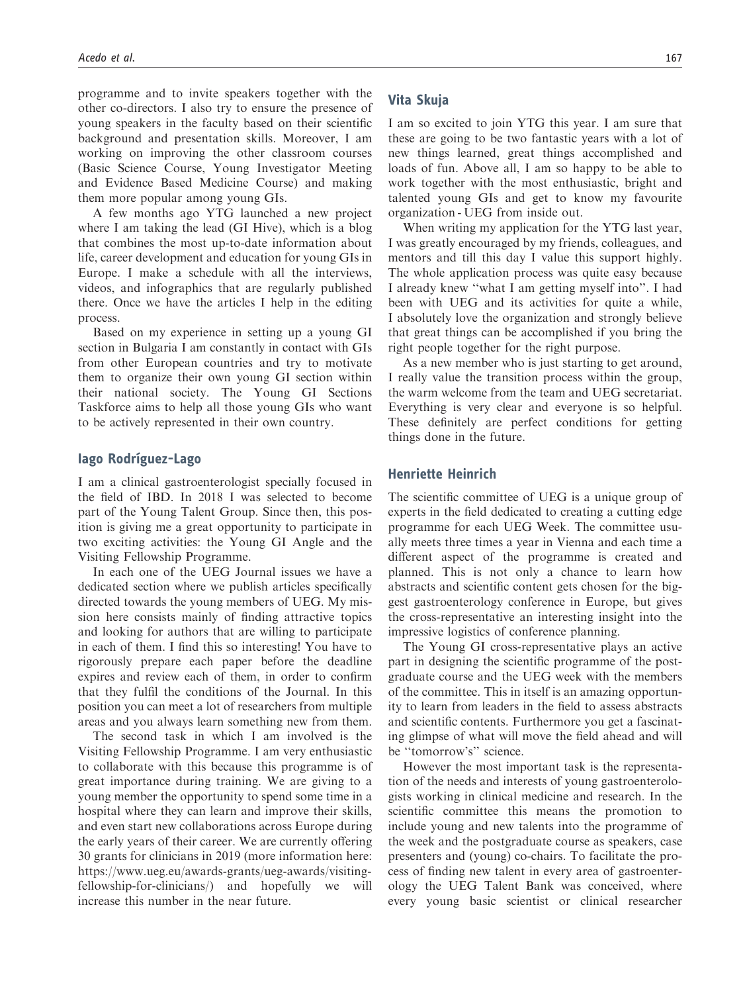programme and to invite speakers together with the other co-directors. I also try to ensure the presence of young speakers in the faculty based on their scientific background and presentation skills. Moreover, I am working on improving the other classroom courses (Basic Science Course, Young Investigator Meeting and Evidence Based Medicine Course) and making them more popular among young GIs.

A few months ago YTG launched a new project where I am taking the lead (GI Hive), which is a blog that combines the most up-to-date information about life, career development and education for young GIs in Europe. I make a schedule with all the interviews, videos, and infographics that are regularly published there. Once we have the articles I help in the editing process.

Based on my experience in setting up a young GI section in Bulgaria I am constantly in contact with GIs from other European countries and try to motivate them to organize their own young GI section within their national society. The Young GI Sections Taskforce aims to help all those young GIs who want to be actively represented in their own country.

# Iago Rodríguez-Lago

I am a clinical gastroenterologist specially focused in the field of IBD. In 2018 I was selected to become part of the Young Talent Group. Since then, this position is giving me a great opportunity to participate in two exciting activities: the Young GI Angle and the Visiting Fellowship Programme.

In each one of the UEG Journal issues we have a dedicated section where we publish articles specifically directed towards the young members of UEG. My mission here consists mainly of finding attractive topics and looking for authors that are willing to participate in each of them. I find this so interesting! You have to rigorously prepare each paper before the deadline expires and review each of them, in order to confirm that they fulfil the conditions of the Journal. In this position you can meet a lot of researchers from multiple areas and you always learn something new from them.

The second task in which I am involved is the Visiting Fellowship Programme. I am very enthusiastic to collaborate with this because this programme is of great importance during training. We are giving to a young member the opportunity to spend some time in a hospital where they can learn and improve their skills, and even start new collaborations across Europe during the early years of their career. We are currently offering 30 grants for clinicians in 2019 (more information here: [https://www.ueg.eu/awards-grants/ueg-awards/visiting](https://www.ueg.eu/awards-grants/ueg-awards/visiting-fellowship-for-clinicians/)[fellowship-for-clinicians/\)](https://www.ueg.eu/awards-grants/ueg-awards/visiting-fellowship-for-clinicians/) and hopefully we will increase this number in the near future.

## Vita Skuja

I am so excited to join YTG this year. I am sure that these are going to be two fantastic years with a lot of new things learned, great things accomplished and loads of fun. Above all, I am so happy to be able to work together with the most enthusiastic, bright and talented young GIs and get to know my favourite organization - UEG from inside out.

When writing my application for the YTG last year, I was greatly encouraged by my friends, colleagues, and mentors and till this day I value this support highly. The whole application process was quite easy because I already knew ''what I am getting myself into''. I had been with UEG and its activities for quite a while, I absolutely love the organization and strongly believe that great things can be accomplished if you bring the right people together for the right purpose.

As a new member who is just starting to get around, I really value the transition process within the group, the warm welcome from the team and UEG secretariat. Everything is very clear and everyone is so helpful. These definitely are perfect conditions for getting things done in the future.

## Henriette Heinrich

The scientific committee of UEG is a unique group of experts in the field dedicated to creating a cutting edge programme for each UEG Week. The committee usually meets three times a year in Vienna and each time a different aspect of the programme is created and planned. This is not only a chance to learn how abstracts and scientific content gets chosen for the biggest gastroenterology conference in Europe, but gives the cross-representative an interesting insight into the impressive logistics of conference planning.

The Young GI cross-representative plays an active part in designing the scientific programme of the postgraduate course and the UEG week with the members of the committee. This in itself is an amazing opportunity to learn from leaders in the field to assess abstracts and scientific contents. Furthermore you get a fascinating glimpse of what will move the field ahead and will be "tomorrow's" science.

However the most important task is the representation of the needs and interests of young gastroenterologists working in clinical medicine and research. In the scientific committee this means the promotion to include young and new talents into the programme of the week and the postgraduate course as speakers, case presenters and (young) co-chairs. To facilitate the process of finding new talent in every area of gastroenterology the UEG Talent Bank was conceived, where every young basic scientist or clinical researcher